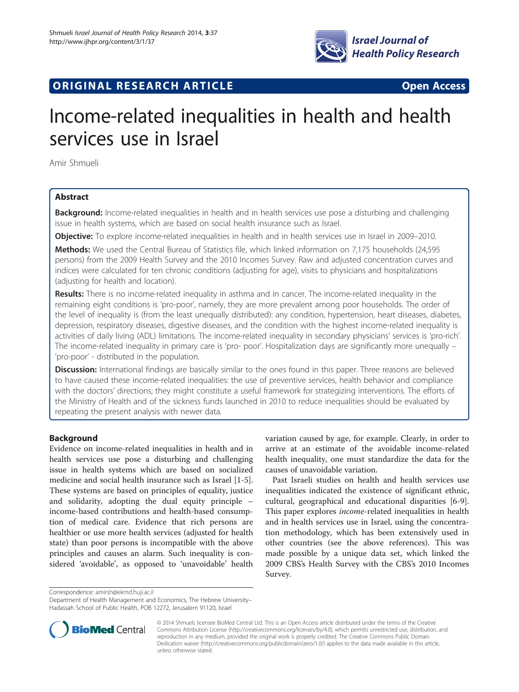

# **ORIGINAL RESEARCH ARTICLE CONSUMING ACCESS**

# Income-related inequalities in health and health services use in Israel

Amir Shmueli

# Abstract

Background: Income-related inequalities in health and in health services use pose a disturbing and challenging issue in health systems, which are based on social health insurance such as Israel.

Objective: To explore income-related inequalities in health and in health services use in Israel in 2009–2010.

Methods: We used the Central Bureau of Statistics file, which linked information on 7,175 households (24,595 persons) from the 2009 Health Survey and the 2010 Incomes Survey. Raw and adjusted concentration curves and indices were calculated for ten chronic conditions (adjusting for age), visits to physicians and hospitalizations (adjusting for health and location).

Results: There is no income-related inequality in asthma and in cancer. The income-related inequality in the remaining eight conditions is 'pro-poor', namely, they are more prevalent among poor households. The order of the level of inequality is (from the least unequally distributed): any condition, hypertension, heart diseases, diabetes, depression, respiratory diseases, digestive diseases, and the condition with the highest income-related inequality is activities of daily living (ADL) limitations. The income-related inequality in secondary physicians' services is 'pro-rich'. The income-related inequality in primary care is 'pro- poor'. Hospitalization days are significantly more unequally – 'pro-poor' - distributed in the population.

Discussion: International findings are basically similar to the ones found in this paper. Three reasons are believed to have caused these income-related inequalities: the use of preventive services, health behavior and compliance with the doctors' directions; they might constitute a useful framework for strategizing interventions. The efforts of the Ministry of Health and of the sickness funds launched in 2010 to reduce inequalities should be evaluated by repeating the present analysis with newer data.

# **Background**

Evidence on income-related inequalities in health and in health services use pose a disturbing and challenging issue in health systems which are based on socialized medicine and social health insurance such as Israel [[1-5](#page-6-0)]. These systems are based on principles of equality, justice and solidarity, adopting the dual equity principle – income-based contributions and health-based consumption of medical care. Evidence that rich persons are healthier or use more health services (adjusted for health state) than poor persons is incompatible with the above principles and causes an alarm. Such inequality is considered 'avoidable', as opposed to 'unavoidable' health

variation caused by age, for example. Clearly, in order to arrive at an estimate of the avoidable income-related health inequality, one must standardize the data for the causes of unavoidable variation.

Past Israeli studies on health and health services use inequalities indicated the existence of significant ethnic, cultural, geographical and educational disparities [[6](#page-6-0)[-9](#page-7-0)]. This paper explores *income-related* inequalities in health and in health services use in Israel, using the concentration methodology, which has been extensively used in other countries (see the above references). This was made possible by a unique data set, which linked the 2009 CBS's Health Survey with the CBS's 2010 Incomes Survey.

Correspondence: [amirsh@ekmd.huji.ac.il](mailto:amirsh@ekmd.huji.ac.il)

Department of Health Management and Economics, The Hebrew University– Hadassah School of Public Health, POB 12272, Jerusalem 91120, Israel



© 2014 Shmueli; licensee BioMed Central Ltd. This is an Open Access article distributed under the terms of the Creative Commons Attribution License [\(http://creativecommons.org/licenses/by/4.0\)](http://creativecommons.org/licenses/by/4.0), which permits unrestricted use, distribution, and reproduction in any medium, provided the original work is properly credited. The Creative Commons Public Domain Dedication waiver [\(http://creativecommons.org/publicdomain/zero/1.0/](http://creativecommons.org/publicdomain/zero/1.0/)) applies to the data made available in this article, unless otherwise stated.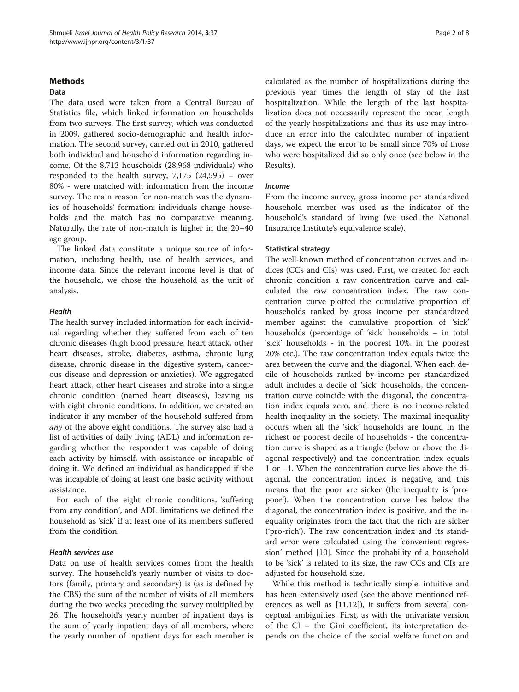#### **Methods**

# Data

The data used were taken from a Central Bureau of Statistics file, which linked information on households from two surveys. The first survey, which was conducted in 2009, gathered socio-demographic and health information. The second survey, carried out in 2010, gathered both individual and household information regarding income. Of the 8,713 households (28,968 individuals) who responded to the health survey, 7,175 (24,595) – over 80% - were matched with information from the income survey. The main reason for non-match was the dynamics of households' formation: individuals change households and the match has no comparative meaning. Naturally, the rate of non-match is higher in the 20–40 age group.

The linked data constitute a unique source of information, including health, use of health services, and income data. Since the relevant income level is that of the household, we chose the household as the unit of analysis.

#### **Health**

The health survey included information for each individual regarding whether they suffered from each of ten chronic diseases (high blood pressure, heart attack, other heart diseases, stroke, diabetes, asthma, chronic lung disease, chronic disease in the digestive system, cancerous disease and depression or anxieties). We aggregated heart attack, other heart diseases and stroke into a single chronic condition (named heart diseases), leaving us with eight chronic conditions. In addition, we created an indicator if any member of the household suffered from any of the above eight conditions. The survey also had a list of activities of daily living (ADL) and information regarding whether the respondent was capable of doing each activity by himself, with assistance or incapable of doing it. We defined an individual as handicapped if she was incapable of doing at least one basic activity without assistance.

For each of the eight chronic conditions, 'suffering from any condition', and ADL limitations we defined the household as 'sick' if at least one of its members suffered from the condition.

### Health services use

Data on use of health services comes from the health survey. The household's yearly number of visits to doctors (family, primary and secondary) is (as is defined by the CBS) the sum of the number of visits of all members during the two weeks preceding the survey multiplied by 26. The household's yearly number of inpatient days is the sum of yearly inpatient days of all members, where the yearly number of inpatient days for each member is calculated as the number of hospitalizations during the previous year times the length of stay of the last hospitalization. While the length of the last hospitalization does not necessarily represent the mean length of the yearly hospitalizations and thus its use may introduce an error into the calculated number of inpatient days, we expect the error to be small since 70% of those who were hospitalized did so only once (see below in the [Results\)](#page-2-0).

#### Income

From the income survey, gross income per standardized household member was used as the indicator of the household's standard of living (we used the National Insurance Institute's equivalence scale).

#### Statistical strategy

The well-known method of concentration curves and indices (CCs and CIs) was used. First, we created for each chronic condition a raw concentration curve and calculated the raw concentration index. The raw concentration curve plotted the cumulative proportion of households ranked by gross income per standardized member against the cumulative proportion of 'sick' households (percentage of 'sick' households – in total 'sick' households - in the poorest 10%, in the poorest 20% etc.). The raw concentration index equals twice the area between the curve and the diagonal. When each decile of households ranked by income per standardized adult includes a decile of 'sick' households, the concentration curve coincide with the diagonal, the concentration index equals zero, and there is no income-related health inequality in the society. The maximal inequality occurs when all the 'sick' households are found in the richest or poorest decile of households - the concentration curve is shaped as a triangle (below or above the diagonal respectively) and the concentration index equals 1 or −1. When the concentration curve lies above the diagonal, the concentration index is negative, and this means that the poor are sicker (the inequality is 'propoor'). When the concentration curve lies below the diagonal, the concentration index is positive, and the inequality originates from the fact that the rich are sicker ('pro-rich'). The raw concentration index and its standard error were calculated using the 'convenient regression' method [\[10\]](#page-7-0). Since the probability of a household to be 'sick' is related to its size, the raw CCs and CIs are adjusted for household size.

While this method is technically simple, intuitive and has been extensively used (see the above mentioned references as well as [\[11,12](#page-7-0)]), it suffers from several conceptual ambiguities. First, as with the univariate version of the CI – the Gini coefficient, its interpretation depends on the choice of the social welfare function and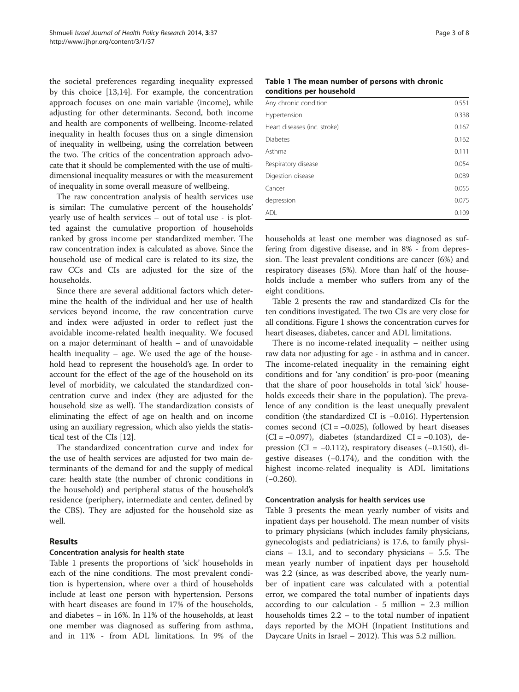<span id="page-2-0"></span>the societal preferences regarding inequality expressed by this choice [[13,14](#page-7-0)]. For example, the concentration approach focuses on one main variable (income), while adjusting for other determinants. Second, both income and health are components of wellbeing. Income-related inequality in health focuses thus on a single dimension of inequality in wellbeing, using the correlation between the two. The critics of the concentration approach advocate that it should be complemented with the use of multidimensional inequality measures or with the measurement of inequality in some overall measure of wellbeing.

The raw concentration analysis of health services use is similar: The cumulative percent of the households' yearly use of health services – out of total use - is plotted against the cumulative proportion of households ranked by gross income per standardized member. The raw concentration index is calculated as above. Since the household use of medical care is related to its size, the raw CCs and CIs are adjusted for the size of the households.

Since there are several additional factors which determine the health of the individual and her use of health services beyond income, the raw concentration curve and index were adjusted in order to reflect just the avoidable income-related health inequality. We focused on a major determinant of health – and of unavoidable health inequality – age. We used the age of the household head to represent the household's age. In order to account for the effect of the age of the household on its level of morbidity, we calculated the standardized concentration curve and index (they are adjusted for the household size as well). The standardization consists of eliminating the effect of age on health and on income using an auxiliary regression, which also yields the statistical test of the CIs [[12\]](#page-7-0).

The standardized concentration curve and index for the use of health services are adjusted for two main determinants of the demand for and the supply of medical care: health state (the number of chronic conditions in the household) and peripheral status of the household's residence (periphery, intermediate and center, defined by the CBS). They are adjusted for the household size as well.

# Results

# Concentration analysis for health state

Table 1 presents the proportions of 'sick' households in each of the nine conditions. The most prevalent condition is hypertension, where over a third of households include at least one person with hypertension. Persons with heart diseases are found in 17% of the households, and diabetes – in 16%. In 11% of the households, at least one member was diagnosed as suffering from asthma, and in 11% - from ADL limitations. In 9% of the

#### Table 1 The mean number of persons with chronic conditions per household

| Any chronic condition        | 0.551 |
|------------------------------|-------|
| Hypertension                 | 0.338 |
| Heart diseases (inc. stroke) | 0.167 |
| <b>Diabetes</b>              | 0.162 |
| Asthma                       | 0.111 |
| Respiratory disease          | 0.054 |
| Digestion disease            | 0.089 |
| Cancer                       | 0.055 |
| depression                   | 0.075 |
| ADL                          | 0.109 |

households at least one member was diagnosed as suffering from digestive disease, and in 8% - from depression. The least prevalent conditions are cancer (6%) and respiratory diseases (5%). More than half of the households include a member who suffers from any of the eight conditions.

Table [2](#page-3-0) presents the raw and standardized CIs for the ten conditions investigated. The two CIs are very close for all conditions. Figure [1](#page-3-0) shows the concentration curves for heart diseases, diabetes, cancer and ADL limitations.

There is no income-related inequality – neither using raw data nor adjusting for age - in asthma and in cancer. The income-related inequality in the remaining eight conditions and for 'any condition' is pro-poor (meaning that the share of poor households in total 'sick' households exceeds their share in the population). The prevalence of any condition is the least unequally prevalent condition (the standardized CI is −0.016). Hypertension comes second ( $CI = -0.025$ ), followed by heart diseases (CI = −0.097), diabetes (standardized CI = −0.103), depression (CI = −0.112), respiratory diseases (−0.150), digestive diseases (−0.174), and the condition with the highest income-related inequality is ADL limitations  $(-0.260)$ .

#### Concentration analysis for health services use

Table [3](#page-4-0) presents the mean yearly number of visits and inpatient days per household. The mean number of visits to primary physicians (which includes family physicians, gynecologists and pediatricians) is 17.6, to family physicians – 13.1, and to secondary physicians – 5.5. The mean yearly number of inpatient days per household was 2.2 (since, as was described above, the yearly number of inpatient care was calculated with a potential error, we compared the total number of inpatients days according to our calculation  $-5$  million  $= 2.3$  million households times 2.2 – to the total number of inpatient days reported by the MOH (Inpatient Institutions and Daycare Units in Israel – 2012). This was 5.2 million.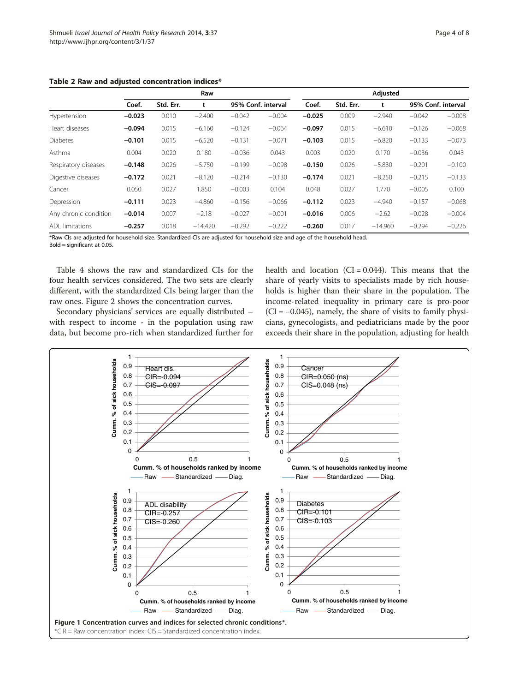<span id="page-3-0"></span>Table 2 Raw and adjusted concentration indices\*

|                        | Raw      |           |           |                    | Adjusted |          |           |           |                    |          |
|------------------------|----------|-----------|-----------|--------------------|----------|----------|-----------|-----------|--------------------|----------|
|                        | Coef.    | Std. Err. | t         | 95% Conf. interval |          | Coef.    | Std. Err. | t         | 95% Conf. interval |          |
| Hypertension           | $-0.023$ | 0.010     | $-2.400$  | $-0.042$           | $-0.004$ | $-0.025$ | 0.009     | $-2.940$  | $-0.042$           | $-0.008$ |
| Heart diseases         | $-0.094$ | 0.015     | $-6.160$  | $-0.124$           | $-0.064$ | $-0.097$ | 0.015     | $-6.610$  | $-0.126$           | $-0.068$ |
| <b>Diabetes</b>        | $-0.101$ | 0.015     | $-6.520$  | $-0.131$           | $-0.071$ | $-0.103$ | 0.015     | $-6.820$  | $-0.133$           | $-0.073$ |
| Asthma                 | 0.004    | 0.020     | 0.180     | $-0.036$           | 0.043    | 0.003    | 0.020     | 0.170     | $-0.036$           | 0.043    |
| Respiratory diseases   | $-0.148$ | 0.026     | $-5.750$  | $-0.199$           | $-0.098$ | $-0.150$ | 0.026     | $-5.830$  | $-0.201$           | $-0.100$ |
| Digestive diseases     | $-0.172$ | 0.021     | $-8.120$  | $-0.214$           | $-0.130$ | $-0.174$ | 0.021     | $-8.250$  | $-0.215$           | $-0.133$ |
| Cancer                 | 0.050    | 0.027     | 1.850     | $-0.003$           | 0.104    | 0.048    | 0.027     | 1.770     | $-0.005$           | 0.100    |
| Depression             | $-0.111$ | 0.023     | $-4.860$  | $-0.156$           | $-0.066$ | $-0.112$ | 0.023     | $-4.940$  | $-0.157$           | $-0.068$ |
| Any chronic condition  | $-0.014$ | 0.007     | $-2.18$   | $-0.027$           | $-0.001$ | $-0.016$ | 0.006     | $-2.62$   | $-0.028$           | $-0.004$ |
| <b>ADL</b> limitations | $-0.257$ | 0.018     | $-14.420$ | $-0.292$           | $-0.222$ | $-0.260$ | 0.017     | $-14.960$ | $-0.294$           | $-0.226$ |

\*Raw CIs are adjusted for household size. Standardized CIs are adjusted for household size and age of the household head.

 $B$ old = significant at 0.05.

Table [4](#page-4-0) shows the raw and standardized CIs for the four health services considered. The two sets are clearly different, with the standardized CIs being larger than the raw ones. Figure [2](#page-5-0) shows the concentration curves.

Secondary physicians' services are equally distributed – with respect to income - in the population using raw data, but become pro-rich when standardized further for health and location  $(CI = 0.044)$ . This means that the share of yearly visits to specialists made by rich households is higher than their share in the population. The income-related inequality in primary care is pro-poor  $(CI = -0.045)$ , namely, the share of visits to family physicians, gynecologists, and pediatricians made by the poor exceeds their share in the population, adjusting for health

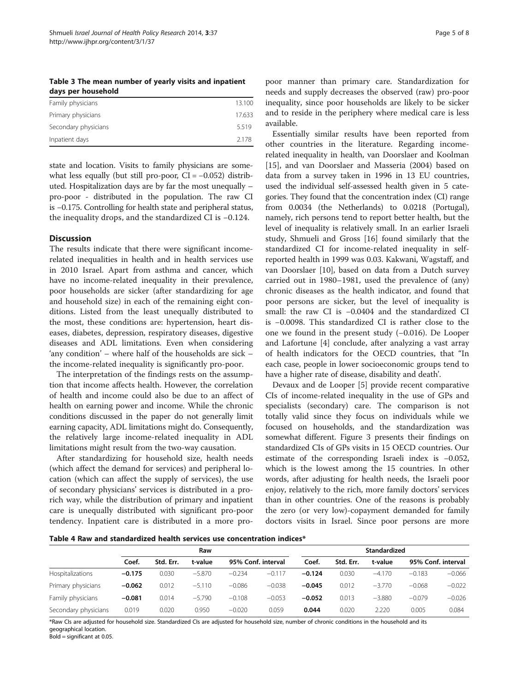<span id="page-4-0"></span>Table 3 The mean number of yearly visits and inpatient days per household

| Family physicians    | 13.100 |
|----------------------|--------|
| Primary physicians   | 17.633 |
| Secondary physicians | 5.519  |
| Inpatient days       | 2.178  |

state and location. Visits to family physicians are somewhat less equally (but still pro-poor,  $CI = -0.052$ ) distributed. Hospitalization days are by far the most unequally – pro-poor - distributed in the population. The raw CI is −0.175. Controlling for health state and peripheral status, the inequality drops, and the standardized CI is −0.124.

#### **Discussion**

The results indicate that there were significant incomerelated inequalities in health and in health services use in 2010 Israel. Apart from asthma and cancer, which have no income-related inequality in their prevalence, poor households are sicker (after standardizing for age and household size) in each of the remaining eight conditions. Listed from the least unequally distributed to the most, these conditions are: hypertension, heart diseases, diabetes, depression, respiratory diseases, digestive diseases and ADL limitations. Even when considering 'any condition' – where half of the households are sick – the income-related inequality is significantly pro-poor.

The interpretation of the findings rests on the assumption that income affects health. However, the correlation of health and income could also be due to an affect of health on earning power and income. While the chronic conditions discussed in the paper do not generally limit earning capacity, ADL limitations might do. Consequently, the relatively large income-related inequality in ADL limitations might result from the two-way causation.

After standardizing for household size, health needs (which affect the demand for services) and peripheral location (which can affect the supply of services), the use of secondary physicians' services is distributed in a prorich way, while the distribution of primary and inpatient care is unequally distributed with significant pro-poor tendency. Inpatient care is distributed in a more pro-

poor manner than primary care. Standardization for needs and supply decreases the observed (raw) pro-poor inequality, since poor households are likely to be sicker and to reside in the periphery where medical care is less available.

Essentially similar results have been reported from other countries in the literature. Regarding incomerelated inequality in health, van Doorslaer and Koolman [[15\]](#page-7-0), and van Doorslaer and Masseria (2004) based on data from a survey taken in 1996 in 13 EU countries, used the individual self-assessed health given in 5 categories. They found that the concentration index (CI) range from 0.0034 (the Netherlands) to 0.0218 (Portugal), namely, rich persons tend to report better health, but the level of inequality is relatively small. In an earlier Israeli study, Shmueli and Gross [[16\]](#page-7-0) found similarly that the standardized CI for income-related inequality in selfreported health in 1999 was 0.03. Kakwani, Wagstaff, and van Doorslaer [[10\]](#page-7-0), based on data from a Dutch survey carried out in 1980–1981, used the prevalence of (any) chronic diseases as the health indicator, and found that poor persons are sicker, but the level of inequality is small: the raw CI is −0.0404 and the standardized CI is −0.0098. This standardized CI is rather close to the one we found in the present study (−0.016). De Looper and Lafortune [[4\]](#page-6-0) conclude, after analyzing a vast array of health indicators for the OECD countries, that "In each case, people in lower socioeconomic groups tend to have a higher rate of disease, disability and death'.

Devaux and de Looper [[5\]](#page-6-0) provide recent comparative CIs of income-related inequality in the use of GPs and specialists (secondary) care. The comparison is not totally valid since they focus on individuals while we focused on households, and the standardization was somewhat different. Figure [3](#page-5-0) presents their findings on standardized CIs of GPs visits in 15 OECD countries. Our estimate of the corresponding Israeli index is −0.052, which is the lowest among the 15 countries. In other words, after adjusting for health needs, the Israeli poor enjoy, relatively to the rich, more family doctors' services than in other countries. One of the reasons is probably the zero (or very low)-copayment demanded for family doctors visits in Israel. Since poor persons are more

Table 4 Raw and standardized health services use concentration indices\*

|                      | Raw      |           |          |                    |          | Standardized |           |          |                    |          |
|----------------------|----------|-----------|----------|--------------------|----------|--------------|-----------|----------|--------------------|----------|
|                      | Coef.    | Std. Err. | t-value  | 95% Conf. interval |          | Coef.        | Std. Err. | t-value  | 95% Conf. interval |          |
| Hospitalizations     | $-0.175$ | 0.030     | $-5.870$ | $-0.234$           | $-0.117$ | $-0.124$     | 0.030     | $-4.170$ | $-0.183$           | $-0.066$ |
| Primary physicians   | $-0.062$ | 0.012     | $-5.110$ | $-0.086$           | $-0.038$ | $-0.045$     | 0.012     | $-3.770$ | $-0.068$           | $-0.022$ |
| Family physicians    | $-0.081$ | 0.014     | $-5.790$ | $-0.108$           | $-0.053$ | $-0.052$     | 0.013     | $-3.880$ | $-0.079$           | $-0.026$ |
| Secondary physicians | 0.019    | 0.020     | 0.950    | $-0.020$           | 0.059    | 0.044        | 0.020     | 2.220    | 0.005              | 0.084    |

\*Raw CIs are adjusted for household size. Standardized CIs are adjusted for household size, number of chronic conditions in the household and its geographical location.

Bold = significant at 0.05.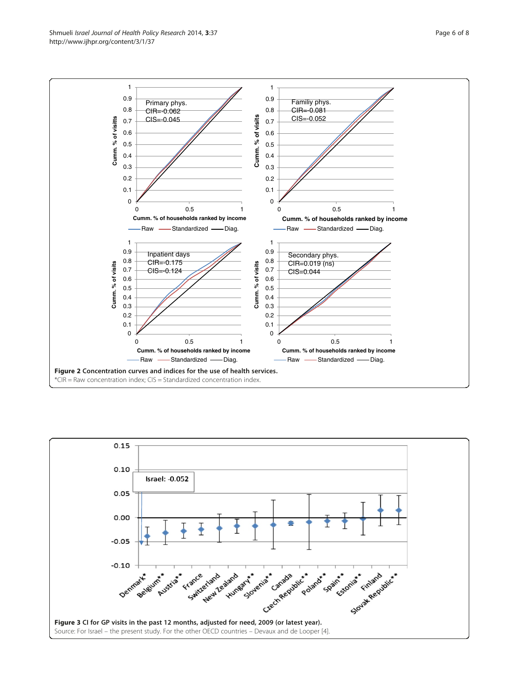<span id="page-5-0"></span>Shmueli Israel Journal of Health Policy Research 2014, 3:37 Page 6 of 8 http://www.ijhpr.org/content/3/1/37



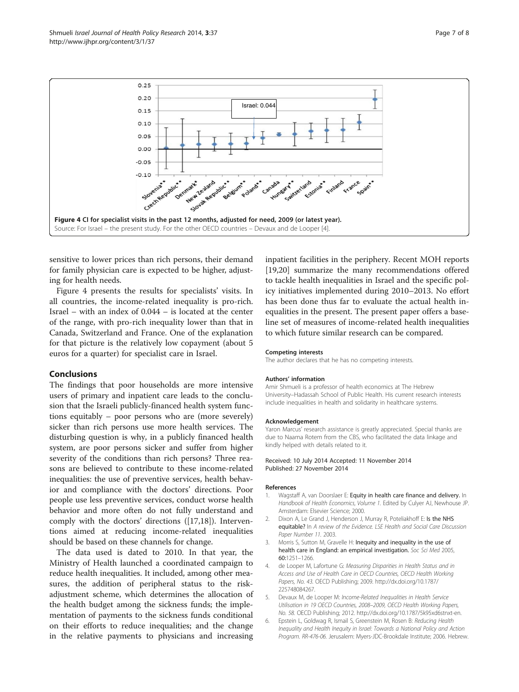<span id="page-6-0"></span>

sensitive to lower prices than rich persons, their demand for family physician care is expected to be higher, adjusting for health needs.

Figure 4 presents the results for specialists' visits. In all countries, the income-related inequality is pro-rich. Israel – with an index of 0.044 – is located at the center of the range, with pro-rich inequality lower than that in Canada, Switzerland and France. One of the explanation for that picture is the relatively low copayment (about 5 euros for a quarter) for specialist care in Israel.

#### Conclusions

The findings that poor households are more intensive users of primary and inpatient care leads to the conclusion that the Israeli publicly-financed health system functions equitably – poor persons who are (more severely) sicker than rich persons use more health services. The disturbing question is why, in a publicly financed health system, are poor persons sicker and suffer from higher severity of the conditions than rich persons? Three reasons are believed to contribute to these income-related inequalities: the use of preventive services, health behavior and compliance with the doctors' directions. Poor people use less preventive services, conduct worse health behavior and more often do not fully understand and comply with the doctors' directions ([[17,18\]](#page-7-0)). Interventions aimed at reducing income-related inequalities should be based on these channels for change.

The data used is dated to 2010. In that year, the Ministry of Health launched a coordinated campaign to reduce health inequalities. It included, among other measures, the addition of peripheral status to the riskadjustment scheme, which determines the allocation of the health budget among the sickness funds; the implementation of payments to the sickness funds conditional on their efforts to reduce inequalities; and the change in the relative payments to physicians and increasing

inpatient facilities in the periphery. Recent MOH reports [[19,20\]](#page-7-0) summarize the many recommendations offered to tackle health inequalities in Israel and the specific policy initiatives implemented during 2010–2013. No effort has been done thus far to evaluate the actual health inequalities in the present. The present paper offers a baseline set of measures of income-related health inequalities to which future similar research can be compared.

#### Competing interests

The author declares that he has no competing interests.

#### Authors' information

Amir Shmueli is a professor of health economics at The Hebrew University–Hadassah School of Public Health. His current research interests include inequalities in health and solidarity in healthcare systems.

#### Acknowledgement

Yaron Marcus' research assistance is greatly appreciated. Special thanks are due to Naama Rotem from the CBS, who facilitated the data linkage and kindly helped with details related to it.

#### Received: 10 July 2014 Accepted: 11 November 2014 Published: 27 November 2014

#### References

- Wagstaff A, van Doorslaer E: Equity in health care finance and delivery. In Handbook of Health Economics, Volume 1. Edited by Culyer AJ, Newhouse JP. Amsterdam: Elsevier Science; 2000.
- 2. Dixon A, Le Grand J, Henderson J, Murray R, Poteliakhoff E: Is the NHS equitable? In A review of the Evidence. LSE Health and Social Care Discussion Paper Number 11. 2003.
- 3. Morris S, Sutton M, Gravelle H: Inequity and inequality in the use of health care in England: an empirical investigation. Soc Sci Med 2005, 60:1251–1266.
- 4. de Looper M, Lafortune G: Measuring Disparities in Health Status and in Access and Use of Health Care in OECD Countries, OECD Health Working Papers, No. 43. OECD Publishing; 2009. [http://dx.doi.org/10.1787/](http://dx.doi.org/10.1787/225748084267) [225748084267.](http://dx.doi.org/10.1787/225748084267)
- 5. Devaux M, de Looper M: Income-Related Inequalities in Health Service Utilisation in 19 OECD Countries, 2008–2009, OECD Health Working Papers, No. 58. OECD Publishing; 2012. [http://dx.doi.org/10.1787/5k95xd6stnxt-en.](http://dx.doi.org/10.1787/5k95xd6stnxt-en)
- 6. Epstein L, Goldwag R, Ismail S, Greenstein M, Rosen B: Reducing Health Inequality and Health Inequity in Israel: Towards a National Policy and Action Program. RR-476-06. Jerusalem: Myers-JDC-Brookdale Institute; 2006. Hebrew.